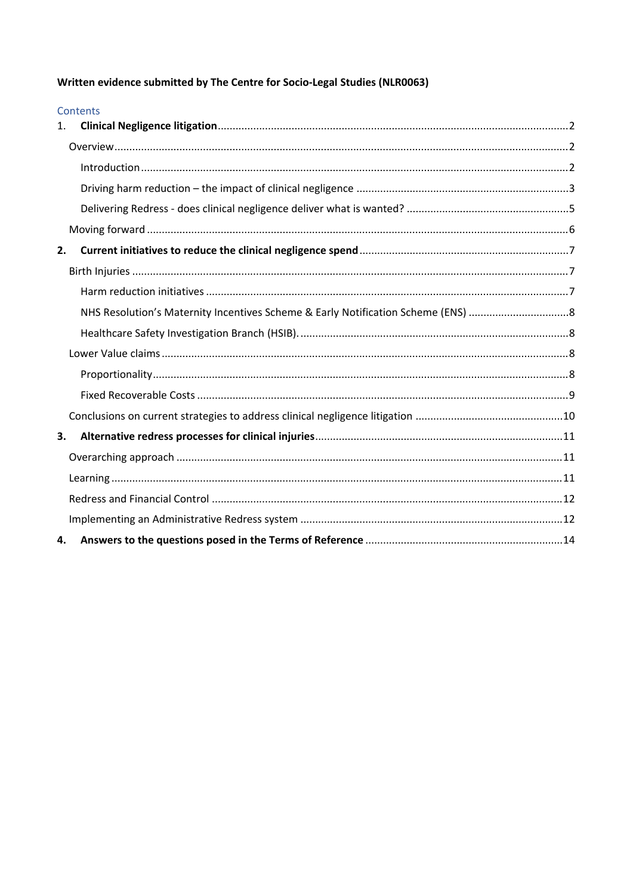Written evidence submitted by The Centre for Socio-Legal Studies (NLR0063)

|                | <b>Contents</b> |  |
|----------------|-----------------|--|
| $\mathbf{1}$ . |                 |  |
|                |                 |  |
|                |                 |  |
|                |                 |  |
|                |                 |  |
|                |                 |  |
| 2.             |                 |  |
|                |                 |  |
|                |                 |  |
|                |                 |  |
|                |                 |  |
|                |                 |  |
|                |                 |  |
|                |                 |  |
|                |                 |  |
| 3.             |                 |  |
|                |                 |  |
|                |                 |  |
|                |                 |  |
|                |                 |  |
| 4.             |                 |  |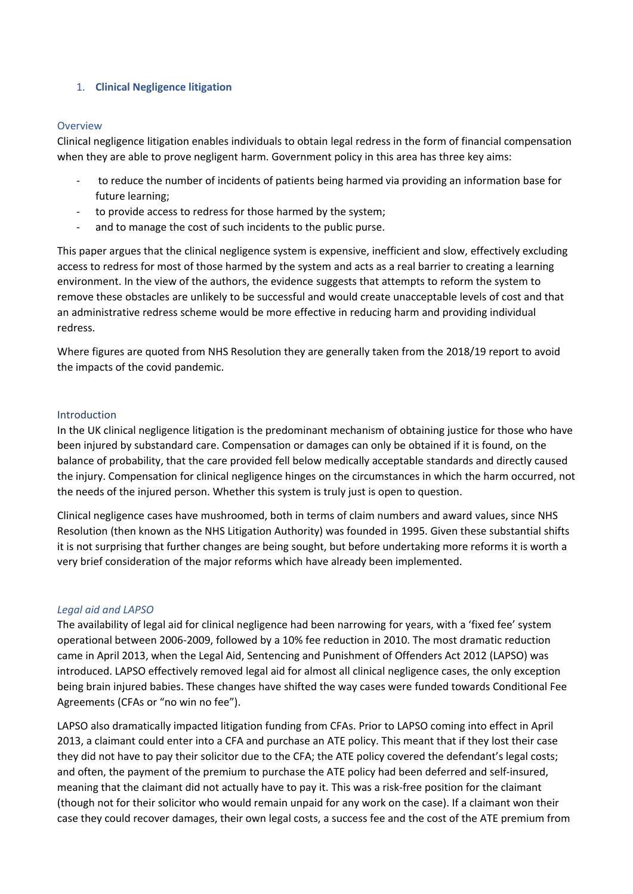## <span id="page-1-0"></span>1. **Clinical Negligence litigation**

### <span id="page-1-1"></span>**Overview**

Clinical negligence litigation enables individuals to obtain legal redress in the form of financial compensation when they are able to prove negligent harm. Government policy in this area has three key aims:

- to reduce the number of incidents of patients being harmed via providing an information base for future learning;
- to provide access to redress for those harmed by the system;
- and to manage the cost of such incidents to the public purse.

This paper argues that the clinical negligence system is expensive, inefficient and slow, effectively excluding access to redress for most of those harmed by the system and acts as a real barrier to creating a learning environment. In the view of the authors, the evidence suggests that attempts to reform the system to remove these obstacles are unlikely to be successful and would create unacceptable levels of cost and that an administrative redress scheme would be more effective in reducing harm and providing individual redress.

Where figures are quoted from NHS Resolution they are generally taken from the 2018/19 report to avoid the impacts of the covid pandemic.

### <span id="page-1-2"></span>Introduction

In the UK clinical negligence litigation is the predominant mechanism of obtaining justice for those who have been injured by substandard care. Compensation or damages can only be obtained if it is found, on the balance of probability, that the care provided fell below medically acceptable standards and directly caused the injury. Compensation for clinical negligence hinges on the circumstances in which the harm occurred, not the needs of the injured person. Whether this system is truly just is open to question.

Clinical negligence cases have mushroomed, both in terms of claim numbers and award values, since NHS Resolution (then known as the NHS Litigation Authority) was founded in 1995. Given these substantial shifts it is not surprising that further changes are being sought, but before undertaking more reforms it is worth a very brief consideration of the major reforms which have already been implemented.

# *Legal aid and LAPSO*

The availability of legal aid for clinical negligence had been narrowing for years, with a 'fixed fee' system operational between 2006-2009, followed by a 10% fee reduction in 2010. The most dramatic reduction came in April 2013, when the Legal Aid, Sentencing and Punishment of Offenders Act 2012 (LAPSO) was introduced. LAPSO effectively removed legal aid for almost all clinical negligence cases, the only exception being brain injured babies. These changes have shifted the way cases were funded towards Conditional Fee Agreements (CFAs or "no win no fee").

LAPSO also dramatically impacted litigation funding from CFAs. Prior to LAPSO coming into effect in April 2013, a claimant could enter into a CFA and purchase an ATE policy. This meant that if they lost their case they did not have to pay their solicitor due to the CFA; the ATE policy covered the defendant's legal costs; and often, the payment of the premium to purchase the ATE policy had been deferred and self-insured, meaning that the claimant did not actually have to pay it. This was a risk-free position for the claimant (though not for their solicitor who would remain unpaid for any work on the case). If a claimant won their case they could recover damages, their own legal costs, a success fee and the cost of the ATE premium from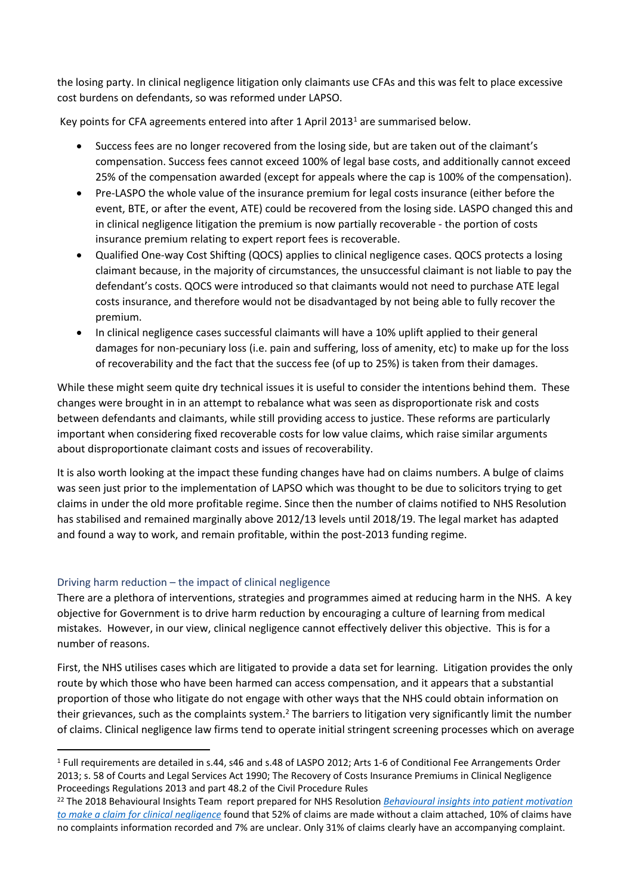the losing party. In clinical negligence litigation only claimants use CFAs and this was felt to place excessive cost burdens on defendants, so was reformed under LAPSO.

Key points for CFA agreements entered into after 1 April 2013<sup>1</sup> are summarised below.

- Success fees are no longer recovered from the losing side, but are taken out of the claimant's compensation. Success fees cannot exceed 100% of legal base costs, and additionally cannot exceed 25% of the compensation awarded (except for appeals where the cap is 100% of the compensation).
- Pre-LASPO the whole value of the insurance premium for legal costs insurance (either before the event, BTE, or after the event, ATE) could be recovered from the losing side. LASPO changed this and in clinical negligence litigation the premium is now partially recoverable - the portion of costs insurance premium relating to expert report fees is recoverable.
- Qualified One-way Cost Shifting (QOCS) applies to clinical negligence cases. QOCS protects a losing claimant because, in the majority of circumstances, the unsuccessful claimant is not liable to pay the defendant's costs. QOCS were introduced so that claimants would not need to purchase ATE legal costs insurance, and therefore would not be disadvantaged by not being able to fully recover the premium.
- In clinical negligence cases successful claimants will have a 10% uplift applied to their general damages for non-pecuniary loss (i.e. pain and suffering, loss of amenity, etc) to make up for the loss of recoverability and the fact that the success fee (of up to 25%) is taken from their damages.

While these might seem quite dry technical issues it is useful to consider the intentions behind them. These changes were brought in in an attempt to rebalance what was seen as disproportionate risk and costs between defendants and claimants, while still providing access to justice. These reforms are particularly important when considering fixed recoverable costs for low value claims, which raise similar arguments about disproportionate claimant costs and issues of recoverability.

It is also worth looking at the impact these funding changes have had on claims numbers. A bulge of claims was seen just prior to the implementation of LAPSO which was thought to be due to solicitors trying to get claims in under the old more profitable regime. Since then the number of claims notified to NHS Resolution has stabilised and remained marginally above 2012/13 levels until 2018/19. The legal market has adapted and found a way to work, and remain profitable, within the post-2013 funding regime.

# <span id="page-2-0"></span>Driving harm reduction – the impact of clinical negligence

There are a plethora of interventions, strategies and programmes aimed at reducing harm in the NHS. A key objective for Government is to drive harm reduction by encouraging a culture of learning from medical mistakes. However, in our view, clinical negligence cannot effectively deliver this objective. This is for a number of reasons.

First, the NHS utilises cases which are litigated to provide a data set for learning. Litigation provides the only route by which those who have been harmed can access compensation, and it appears that a substantial proportion of those who litigate do not engage with other ways that the NHS could obtain information on their grievances, such as the complaints system.<sup>2</sup> The barriers to litigation very significantly limit the number of claims. Clinical negligence law firms tend to operate initial stringent screening processes which on average

<sup>1</sup> Full requirements are detailed in s.44, s46 and s.48 of LASPO 2012; Arts 1-6 of Conditional Fee Arrangements Order 2013; s. 58 of Courts and Legal Services Act 1990; The Recovery of Costs Insurance Premiums in Clinical Negligence Proceedings Regulations 2013 and part 48.2 of the Civil Procedure Rules

<sup>22</sup> The 2018 Behavioural Insights Team report prepared for NHS Resolution *[Behavioural](https://resolution.nhs.uk/resources/behavioural-insights-into-patient-motivation-to-make-a-claim-for-clinical-negligence/) [insights](https://resolution.nhs.uk/resources/behavioural-insights-into-patient-motivation-to-make-a-claim-for-clinical-negligence/) [into](https://resolution.nhs.uk/resources/behavioural-insights-into-patient-motivation-to-make-a-claim-for-clinical-negligence/) [patient](https://resolution.nhs.uk/resources/behavioural-insights-into-patient-motivation-to-make-a-claim-for-clinical-negligence/) [motivation](https://resolution.nhs.uk/resources/behavioural-insights-into-patient-motivation-to-make-a-claim-for-clinical-negligence/) [to](https://resolution.nhs.uk/resources/behavioural-insights-into-patient-motivation-to-make-a-claim-for-clinical-negligence/) [make](https://resolution.nhs.uk/resources/behavioural-insights-into-patient-motivation-to-make-a-claim-for-clinical-negligence/) [a](https://resolution.nhs.uk/resources/behavioural-insights-into-patient-motivation-to-make-a-claim-for-clinical-negligence/) [claim](https://resolution.nhs.uk/resources/behavioural-insights-into-patient-motivation-to-make-a-claim-for-clinical-negligence/) [for](https://resolution.nhs.uk/resources/behavioural-insights-into-patient-motivation-to-make-a-claim-for-clinical-negligence/) [clinical](https://resolution.nhs.uk/resources/behavioural-insights-into-patient-motivation-to-make-a-claim-for-clinical-negligence/) [negligence](https://resolution.nhs.uk/resources/behavioural-insights-into-patient-motivation-to-make-a-claim-for-clinical-negligence/)* found that 52% of claims are made without a claim attached, 10% of claims have no complaints information recorded and 7% are unclear. Only 31% of claims clearly have an accompanying complaint.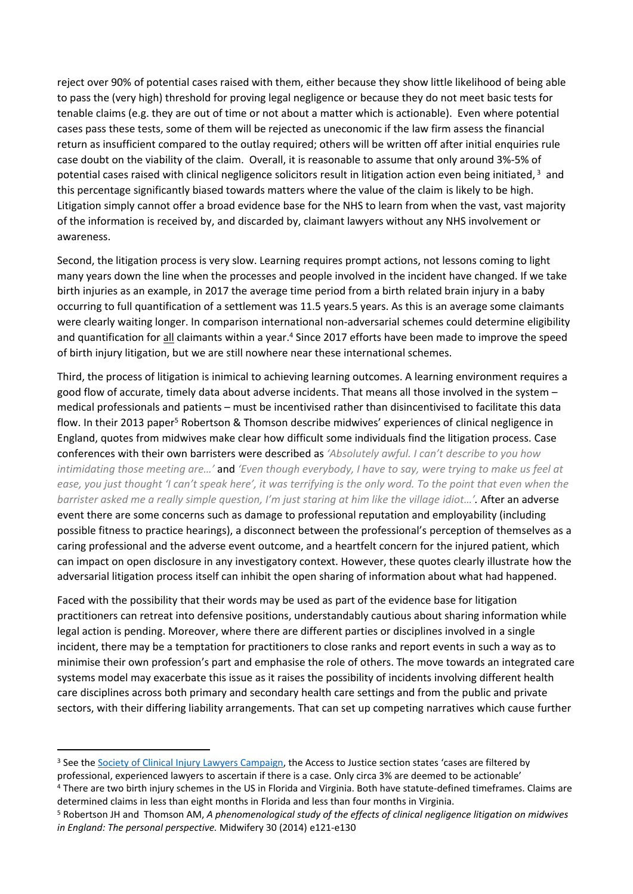reject over 90% of potential cases raised with them, either because they show little likelihood of being able to pass the (very high) threshold for proving legal negligence or because they do not meet basic tests for tenable claims (e.g. they are out of time or not about a matter which is actionable). Even where potential cases pass these tests, some of them will be rejected as uneconomic if the law firm assess the financial return as insufficient compared to the outlay required; others will be written off after initial enquiries rule case doubt on the viability of the claim. Overall, it is reasonable to assume that only around 3%-5% of potential cases raised with clinical negligence solicitors result in litigation action even being initiated, 3 and this percentage significantly biased towards matters where the value of the claim is likely to be high. Litigation simply cannot offer a broad evidence base for the NHS to learn from when the vast, vast majority of the information is received by, and discarded by, claimant lawyers without any NHS involvement or awareness.

Second, the litigation process is very slow. Learning requires prompt actions, not lessons coming to light many years down the line when the processes and people involved in the incident have changed. If we take birth injuries as an example, in 2017 the average time period from a birth related brain injury in a baby occurring to full quantification of a settlement was 11.5 year[s.5](https://assets.publishing.service.gov.uk/government/uploads/system/uploads/attachment_data/file/597390/RRR_Impact_Assessment_a.pdf) [years.](https://assets.publishing.service.gov.uk/government/uploads/system/uploads/attachment_data/file/597390/RRR_Impact_Assessment_a.pdf) As this is an average some claimants were clearly waiting longer. In comparison international non-adversarial schemes could determine eligibility and quantification for all claimants within a year.<sup>4</sup> Since 2017 efforts have been made to improve the speed of birth injury litigation, but we are still nowhere near these international schemes.

Third, the process of litigation is inimical to achieving learning outcomes. A learning environment requires a good flow of accurate, timely data about adverse incidents. That means all those involved in the system – medical professionals and patients – must be incentivised rather than disincentivised to facilitate this data flow. In their 2013 paper<sup>5</sup> Robertson & Thomson describe midwives' experiences of clinical negligence in England, quotes from midwives make clear how difficult some individuals find the litigation process. Case conferences with their own barristers were described as *'Absolutely awful. I can't describe to you how* intimidating those meeting are...' and 'Even though everybody, I have to say, were trying to make us feel at ease, you just thought 'I can't speak here', it was terrifying is the only word. To the point that even when the *barrister asked me a really simple question, I'm just staring at him like the village idiot…'.* After an adverse event there are some concerns such as damage to professional reputation and employability (including possible fitness to practice hearings), a disconnect between the professional's perception of themselves as a caring professional and the adverse event outcome, and a heartfelt concern for the injured patient, which can impact on open disclosure in any investigatory context. However, these quotes clearly illustrate how the adversarial litigation process itself can inhibit the open sharing of information about what had happened.

Faced with the possibility that their words may be used as part of the evidence base for litigation practitioners can retreat into defensive positions, understandably cautious about sharing information while legal action is pending. Moreover, where there are different parties or disciplines involved in a single incident, there may be a temptation for practitioners to close ranks and report events in such a way as to minimise their own profession's part and emphasise the role of others. The move towards an integrated care systems model may exacerbate this issue as it raises the possibility of incidents involving different health care disciplines across both primary and secondary health care settings and from the public and private sectors, with their differing liability arrangements. That can set up competing narratives which cause further

<sup>&</sup>lt;sup>3</sup> See the [Society](https://www.scil.org.uk/campaign) [of](https://www.scil.org.uk/campaign) [Clinical](https://www.scil.org.uk/campaign) [Injury](https://www.scil.org.uk/campaign) [Lawyers](https://www.scil.org.uk/campaign) [Campaign,](https://www.scil.org.uk/campaign) the Access to Justice section states 'cases are filtered by professional, experienced lawyers to ascertain if there is a case. Only circa 3% are deemed to be actionable'

<sup>4</sup> There are two birth injury schemes in the US in Florida and Virginia. Both have statute-defined timeframes. Claims are determined claims in less than eight months in Florida and less than four months in Virginia.

<sup>5</sup> Robertson JH and Thomson AM, *A phenomenological study of the effects of clinical negligence litigation on midwives in England: The personal perspective.* Midwifery 30 (2014) e121-e130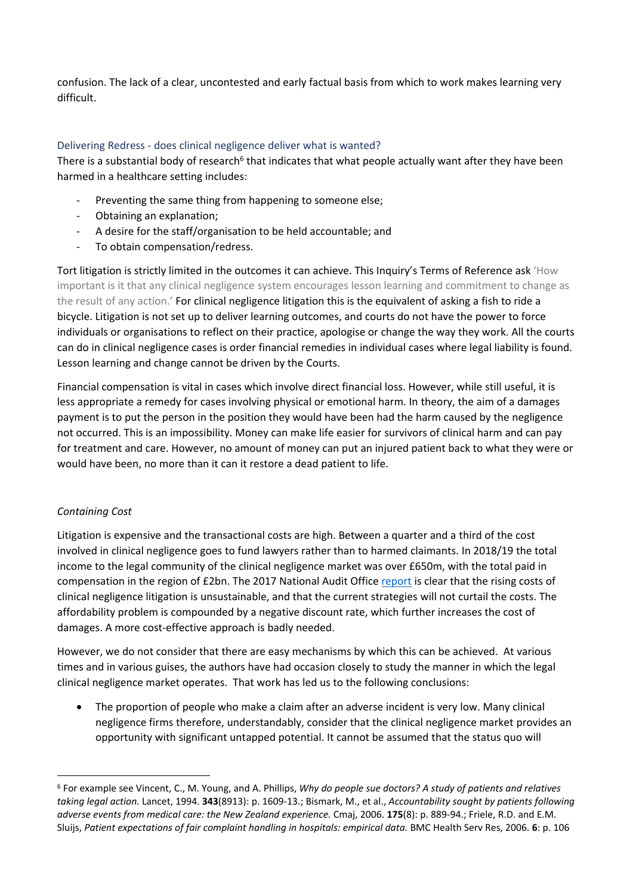confusion. The lack of a clear, uncontested and early factual basis from which to work makes learning very difficult.

## <span id="page-4-0"></span>Delivering Redress - does clinical negligence deliver what is wanted?

There is a substantial body of research<sup>6</sup> that indicates that what people actually want after they have been harmed in a healthcare setting includes:

- Preventing the same thing from happening to someone else;
- Obtaining an explanation;
- A desire for the staff/organisation to be held accountable; and
- To obtain compensation/redress.

Tort litigation is strictly limited in the outcomes it can achieve. This Inquiry's Terms of Reference ask 'How important is it that any clinical negligence system encourages lesson learning and commitment to change as the result of any action.' For clinical negligence litigation this is the equivalent of asking a fish to ride a bicycle. Litigation is not set up to deliver learning outcomes, and courts do not have the power to force individuals or organisations to reflect on their practice, apologise or change the way they work. All the courts can do in clinical negligence cases is order financial remedies in individual cases where legal liability is found. Lesson learning and change cannot be driven by the Courts.

Financial compensation is vital in cases which involve direct financial loss. However, while still useful, it is less appropriate a remedy for cases involving physical or emotional harm. In theory, the aim of a damages payment is to put the person in the position they would have been had the harm caused by the negligence not occurred. This is an impossibility. Money can make life easier for survivors of clinical harm and can pay for treatment and care. However, no amount of money can put an injured patient back to what they were or would have been, no more than it can it restore a dead patient to life.

# *Containing Cost*

Litigation is expensive and the transactional costs are high. Between a quarter and a third of the cost involved in clinical negligence goes to fund lawyers rather than to harmed claimants. In 2018/19 the total income to the legal community of the clinical negligence market was over £650m, with the total paid in compensation in the region of £2bn. The 2017 National Audit Office [report](https://www.nao.org.uk/wp-content/uploads/2017/09/Managing-the-costs-of-clinical-negligence-in-trusts.pdf) is clear that the rising costs of clinical negligence litigation is unsustainable, and that the current strategies will not curtail the costs. The affordability problem is compounded by a negative discount rate, which further increases the cost of damages. A more cost-effective approach is badly needed.

However, we do not consider that there are easy mechanisms by which this can be achieved. At various times and in various guises, the authors have had occasion closely to study the manner in which the legal clinical negligence market operates. That work has led us to the following conclusions:

 The proportion of people who make a claim after an adverse incident is very low. Many clinical negligence firms therefore, understandably, consider that the clinical negligence market provides an opportunity with significant untapped potential. It cannot be assumed that the status quo will

<sup>6</sup> For example see Vincent, C., M. Young, and A. Phillips, *Why do people sue doctors? A study of patients and relatives taking legal action.* Lancet, 1994. **343**(8913): p. 1609-13.; Bismark, M., et al., *Accountability sought by patients following adverse events from medical care: the New Zealand experience.* Cmaj, 2006. **175**(8): p. 889-94.; Friele, R.D. and E.M. Sluijs, *Patient expectations of fair complaint handling in hospitals: empirical data.* BMC Health Serv Res, 2006. **6**: p. 106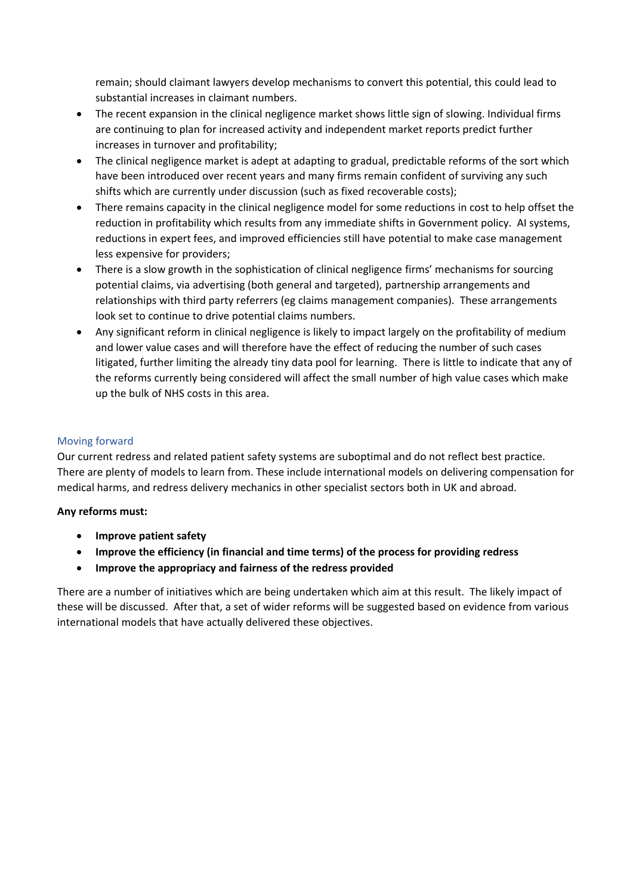remain; should claimant lawyers develop mechanisms to convert this potential, this could lead to substantial increases in claimant numbers.

- The recent expansion in the clinical negligence market shows little sign of slowing. Individual firms are continuing to plan for increased activity and independent market reports predict further increases in turnover and profitability;
- The clinical negligence market is adept at adapting to gradual, predictable reforms of the sort which have been introduced over recent years and many firms remain confident of surviving any such shifts which are currently under discussion (such as fixed recoverable costs);
- There remains capacity in the clinical negligence model for some reductions in cost to help offset the reduction in profitability which results from any immediate shifts in Government policy. AI systems, reductions in expert fees, and improved efficiencies still have potential to make case management less expensive for providers;
- There is a slow growth in the sophistication of clinical negligence firms' mechanisms for sourcing potential claims, via advertising (both general and targeted), partnership arrangements and relationships with third party referrers (eg claims management companies). These arrangements look set to continue to drive potential claims numbers.
- Any significant reform in clinical negligence is likely to impact largely on the profitability of medium and lower value cases and will therefore have the effect of reducing the number of such cases litigated, further limiting the already tiny data pool for learning. There is little to indicate that any of the reforms currently being considered will affect the small number of high value cases which make up the bulk of NHS costs in this area.

# <span id="page-5-0"></span>Moving forward

Our current redress and related patient safety systems are suboptimal and do not reflect best practice. There are plenty of models to learn from. These include international models on delivering compensation for medical harms, and redress delivery mechanics in other specialist sectors both in UK and abroad.

# **Any reforms must:**

- **Improve patient safety**
- **Improve the efficiency (in financial and time terms) of the process for providing redress**
- **Improve the appropriacy and fairness of the redress provided**

There are a number of initiatives which are being undertaken which aim at this result. The likely impact of these will be discussed. After that, a set of wider reforms will be suggested based on evidence from various international models that have actually delivered these objectives.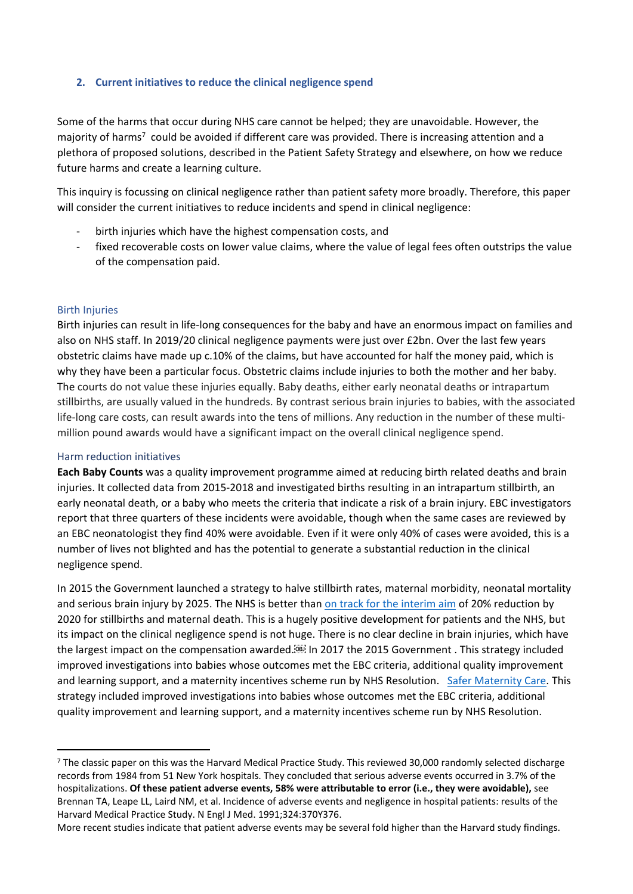## <span id="page-6-0"></span>**2. Current initiatives to reduce the clinical negligence spend**

Some of the harms that occur during NHS care cannot be helped; they are unavoidable. However, the majority of harms<sup>7</sup> could be avoided if different care was provided. There is increasing attention and a plethora of proposed solutions, described in the Patient Safety Strategy and elsewhere, on how we reduce future harms and create a learning culture.

This inquiry is focussing on clinical negligence rather than patient safety more broadly. Therefore, this paper will consider the current initiatives to reduce incidents and spend in clinical negligence:

- birth injuries which have the highest compensation costs, and
- fixed recoverable costs on lower value claims, where the value of legal fees often outstrips the value of the compensation paid.

### <span id="page-6-1"></span>Birth Injuries

Birth injuries can result in life-long consequences for the baby and have an enormous impact on families and also on NHS staff. In 2019/20 clinical negligence payments were just over £2bn. Over the last few years obstetric claims have made up c.10% of the claims, but have accounted for half the money paid, which is why they have been a particular focus. Obstetric claims include injuries to both the mother and her baby. The courts do not value these injuries equally. Baby deaths, either early neonatal deaths or intrapartum stillbirths, are usually valued in the hundreds. By contrast serious brain injuries to babies, with the associated life-long care costs, can result awards into the tens of millions. Any reduction in the number of these multimillion pound awards would have a significant impact on the overall clinical negligence spend.

### <span id="page-6-2"></span>Harm reduction initiatives

**[Each](https://www.rcog.org.uk/globalassets/documents/guidelines/research--audit/each-baby-counts/each-baby-counts-2019-progress-report.pdf) [Baby](https://www.rcog.org.uk/globalassets/documents/guidelines/research--audit/each-baby-counts/each-baby-counts-2019-progress-report.pdf) [Counts](https://www.rcog.org.uk/globalassets/documents/guidelines/research--audit/each-baby-counts/each-baby-counts-2019-progress-report.pdf)** was a quality improvement programme aimed at reducing birth related deaths and brain injuries. It collected data from 2015-2018 and investigated births resulting in an intrapartum stillbirth, an early neonatal death, or a baby who meets the criteria that indicate a risk of a brain injury. EBC investigators report that three quarters of these incidents were avoidable, though when the same cases are reviewed by an EBC neonatologist they find 40% were avoidable. Even if it were only 40% of cases were avoided, this is a number of lives not blighted and has the potential to generate a substantial reduction in the clinical negligence spend.

In 2015 the Government launched a strategy to halve stillbirth rates, maternal morbidity, neonatal mortality and serious brain injury by 2025. The NHS is better than [on](https://www.england.nhs.uk/wp-content/uploads/2020/03/better-births-four-years-on-progress-report.pdf) [track](https://www.england.nhs.uk/wp-content/uploads/2020/03/better-births-four-years-on-progress-report.pdf) [for](https://www.england.nhs.uk/wp-content/uploads/2020/03/better-births-four-years-on-progress-report.pdf) [the](https://www.england.nhs.uk/wp-content/uploads/2020/03/better-births-four-years-on-progress-report.pdf) [interim](https://www.england.nhs.uk/wp-content/uploads/2020/03/better-births-four-years-on-progress-report.pdf) [aim](https://www.england.nhs.uk/wp-content/uploads/2020/03/better-births-four-years-on-progress-report.pdf) of 20% reduction by 2020 for stillbirths and maternal death. This is a hugely positive development for patients and the NHS, but its impact on the clinical negligence spend is not huge. There is no clear decline in brain injuries, which have the largest impact on the compensation awarded.<sup>[33]</sup> In 2017 the 2015 Government . This strategy included improved investigations into babies whose outcomes met the EBC criteria, additional quality improvement and learning support, and a maternity incentives scheme run by NHS Resolution. [Safer](https://assets.publishing.service.gov.uk/government/uploads/system/uploads/attachment_data/file/662969/Safer_maternity_care_-_progress_and_next_steps.pdf) [Maternity](https://assets.publishing.service.gov.uk/government/uploads/system/uploads/attachment_data/file/662969/Safer_maternity_care_-_progress_and_next_steps.pdf) [Care.](https://assets.publishing.service.gov.uk/government/uploads/system/uploads/attachment_data/file/662969/Safer_maternity_care_-_progress_and_next_steps.pdf) This strategy included improved investigations into babies whose outcomes met the EBC criteria, additional quality improvement and learning support, and a maternity incentives scheme run by NHS Resolution.

More recent studies indicate that patient adverse events may be several fold higher than the Harvard study findings.

<sup>7</sup> The classic paper on this was the Harvard Medical Practice Study. This reviewed 30,000 randomly selected discharge records from 1984 from 51 New York hospitals. They concluded that serious adverse events occurred in 3.7% of the hospitalizations. **Of these patient adverse events, 58% were attributable to error (i.e., they were avoidable),** see Brennan TA, Leape LL, Laird NM, et al. Incidence of adverse events and negligence in hospital patients: results of the Harvard Medical Practice Study. N Engl J Med. 1991;324:370Y376.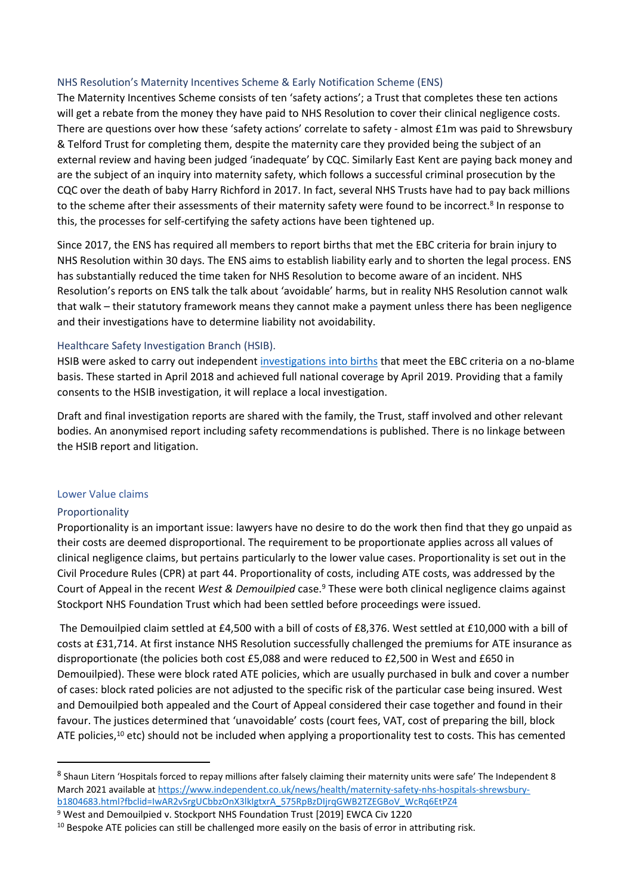## <span id="page-7-0"></span>NHS Resolution's Maternity Incentives Scheme & Early Notification Scheme (ENS)

The Maternity Incentives Scheme consists of ten 'safety actions'; a Trust that completes these ten actions will get a rebate from the money they have paid to NHS Resolution to cover their clinical negligence costs. There are questions over how these 'safety actions' correlate to safety - almost £1m was paid to Shrewsbury & Telford Trust for completing them, despite the maternity care they provided being the subject of an external review and having been judged 'inadequate' by CQC. Similarly East Kent are paying back money and are the subject of an inquiry into maternity safety, which follows a successful criminal prosecution by the CQC over the death of baby Harry Richford in 2017. In fact, several NHS Trusts have had to pay back millions to the scheme after their assessments of their maternity safety were found to be incorrect.<sup>8</sup> In response to this, the processes for self-certifying the safety actions have been tightened up.

Since 2017, the ENS has required all members to report births that met the EBC criteria for brain injury to NHS Resolution within 30 days. The ENS aims to establish liability early and to shorten the legal process. ENS has substantially reduced the time taken for NHS Resolution to become aware of an incident. NHS Resolution's reports on ENS talk the talk about 'avoidable' harms, but in reality NHS Resolution cannot walk that walk – their statutory framework means they cannot make a payment unless there has been negligence and their investigations have to determine liability not avoidability.

## <span id="page-7-1"></span>Healthcare Safety Investigation Branch (HSIB).

HSIB were asked to carry out independent [investigations](https://www.hsib.org.uk/maternity/) [into](https://www.hsib.org.uk/maternity/) [births](https://www.hsib.org.uk/maternity/) that meet the EBC criteria on a no-blame basis. These started in April 2018 and achieved full national coverage by April 2019. Providing that a family consents to the HSIB investigation, it will replace a local investigation.

Draft and final investigation reports are shared with the family, the Trust, staff involved and other relevant bodies. An anonymised report including safety recommendations is published. There is no linkage between the HSIB report and litigation.

### <span id="page-7-2"></span>Lower Value claims

### <span id="page-7-3"></span>Proportionality

Proportionality is an important issue: lawyers have no desire to do the work then find that they go unpaid as their costs are deemed disproportional. The requirement to be proportionate applies across all values of clinical negligence claims, but pertains particularly to the lower value cases. Proportionality is set out in the Civil Procedure Rules (CPR) at part 44. Proportionality of costs, including ATE costs, was addressed by the Court of Appeal in the recent *West & Demouilpied* case.<sup>9</sup> These were both clinical negligence claims against Stockport NHS Foundation Trust which had been settled before proceedings were issued.

The Demouilpied claim settled at £4,500 with a bill of costs of £8,376. West settled at £10,000 with a bill of costs at £31,714. At first instance NHS Resolution successfully challenged the premiums for ATE insurance as disproportionate (the policies both cost £5,088 and were reduced to £2,500 in West and £650 in Demouilpied). These were block rated ATE policies, which are usually purchased in bulk and cover a number of cases: block rated policies are not adjusted to the specific risk of the particular case being insured. West and Demouilpied both appealed and the Court of Appeal considered their case together and found in their favour. The justices determined that 'unavoidable' costs (court fees, VAT, cost of preparing the bill, block ATE policies,<sup>10</sup> etc) should not be included when applying a proportionality test to costs. This has cemented

<sup>&</sup>lt;sup>8</sup> Shaun Litern 'Hospitals forced to repay millions after falsely claiming their maternity units were safe' The Independent 8 March 2021 available at [https://www.independent.co.uk/news/health/maternity-safety-nhs-hospitals-shrewsbury](https://www.independent.co.uk/news/health/maternity-safety-nhs-hospitals-shrewsbury-b1804683.html?fbclid=IwAR2vSrgUCbbzOnX3lkIgtxrA_575RpBzDIjrqGWB2TZEGBoV_WcRq6EtPZ4)[b1804683.html?fbclid=IwAR2vSrgUCbbzOnX3lkIgtxrA\\_575RpBzDIjrqGWB2TZEGBoV\\_WcRq6EtPZ4](https://www.independent.co.uk/news/health/maternity-safety-nhs-hospitals-shrewsbury-b1804683.html?fbclid=IwAR2vSrgUCbbzOnX3lkIgtxrA_575RpBzDIjrqGWB2TZEGBoV_WcRq6EtPZ4)

<sup>9</sup> West and Demouilpied v. Stockport NHS Foundation Trust [2019] EWCA Civ 1220

<sup>&</sup>lt;sup>10</sup> Bespoke ATE policies can still be challenged more easily on the basis of error in attributing risk.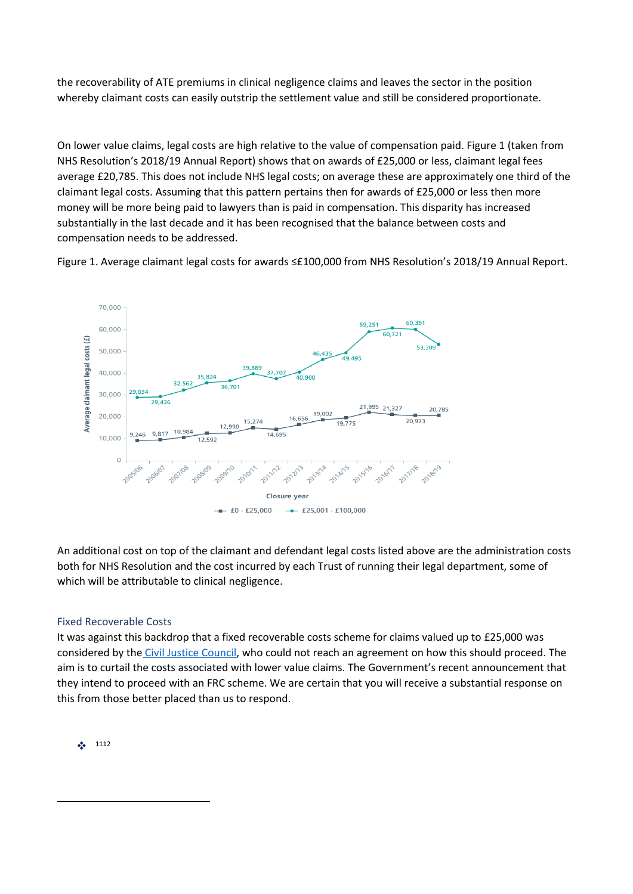the recoverability of ATE premiums in clinical negligence claims and leaves the sector in the position whereby claimant costs can easily outstrip the settlement value and still be considered proportionate.

On lower value claims, legal costs are high relative to the value of compensation paid. Figure 1 (taken from NHS Resolution's 2018/19 Annual Report) shows that on awards of £25,000 or less, claimant legal fees average £20,785. This does not include NHS legal costs; on average these are approximately one third of the claimant legal costs. Assuming that this pattern pertains then for awards of £25,000 or less then more money will be more being paid to lawyers than is paid in compensation. This disparity has increased substantially in the last decade and it has been recognised that the balance between costs and compensation needs to be addressed.

Figure 1. Average claimant legal costs for awards ≤£100,000 from NHS Resolution's 2018/19 Annual Report.



An additional cost on top of the claimant and defendant legal costs listed above are the administration costs both for NHS Resolution and the cost incurred by each Trust of running their legal department, some of which will be attributable to clinical negligence.

# <span id="page-8-0"></span>Fixed Recoverable Costs

It was against this backdrop that a fixed recoverable costs scheme for claims valued up to £25,000 was considered by the [Civil](https://www.judiciary.uk/related-offices-and-bodies/advisory-bodies/cjc/archive/fixed-recoverable-costs-in-lower-value-clinical-negligence-claims/) [Justice](https://www.judiciary.uk/related-offices-and-bodies/advisory-bodies/cjc/archive/fixed-recoverable-costs-in-lower-value-clinical-negligence-claims/) [Council,](https://www.judiciary.uk/related-offices-and-bodies/advisory-bodies/cjc/archive/fixed-recoverable-costs-in-lower-value-clinical-negligence-claims/) who could not reach an agreement on how this should proceed. The aim is to curtail the costs associated with lower value claims. The Government's recent announcement that they intend to proceed with an FRC scheme. We are certain that you will receive a substantial response on this from those better placed than us to respond.

 $\frac{1}{2}$  1112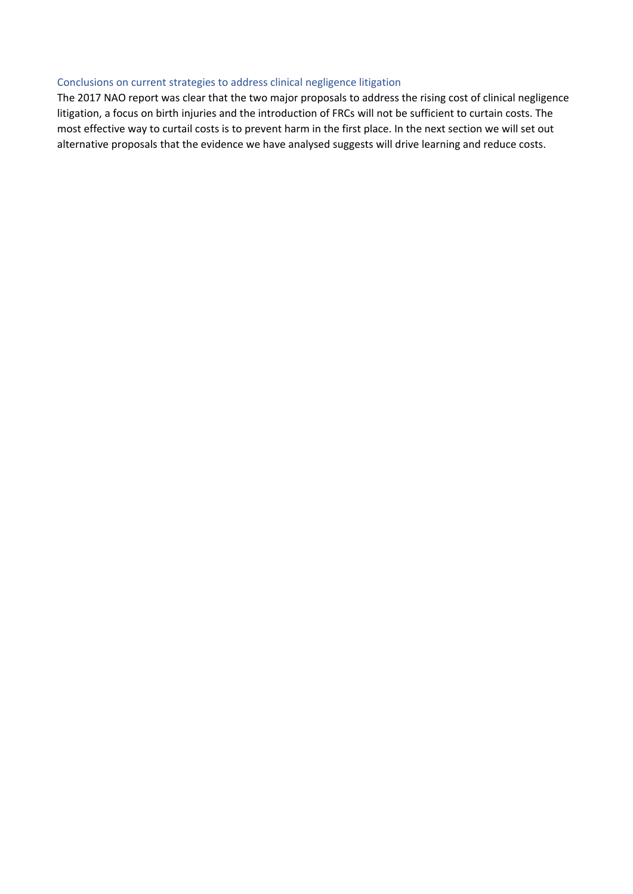#### <span id="page-9-0"></span>Conclusions on current strategies to address clinical negligence litigation

The 2017 NAO report was clear that the two major proposals to address the rising cost of clinical negligence litigation, a focus on birth injuries and the introduction of FRCs will not be sufficient to curtain costs. The most effective way to curtail costs is to prevent harm in the first place. In the next section we will set out alternative proposals that the evidence we have analysed suggests will drive learning and reduce costs.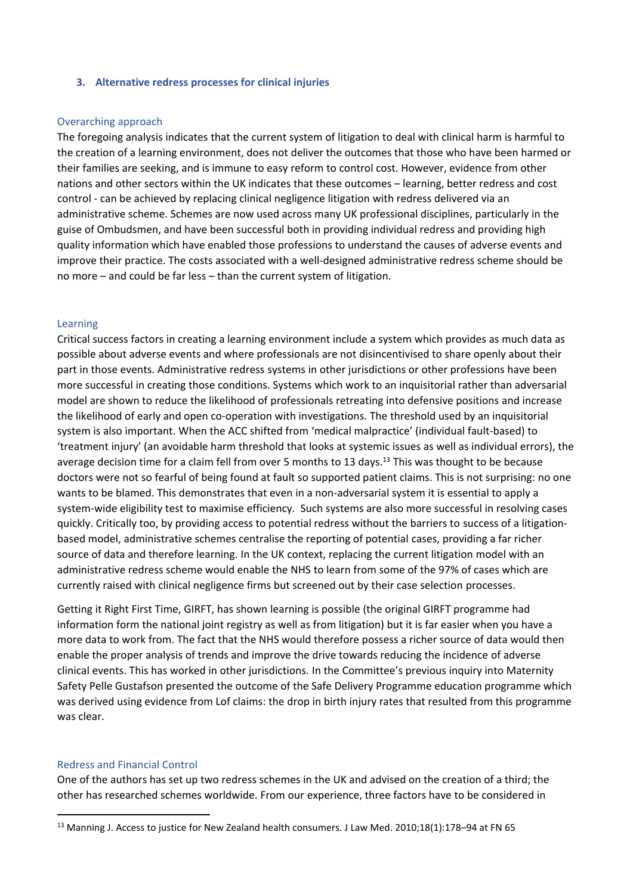#### <span id="page-10-0"></span>**3. Alternative redress processes for clinical injuries**

#### <span id="page-10-1"></span>Overarching approach

The foregoing analysis indicates that the current system of litigation to deal with clinical harm is harmful to the creation of a learning environment, does not deliver the outcomes that those who have been harmed or their families are seeking, and is immune to easy reform to control cost. However, evidence from other nations and other sectors within the UK indicates that these outcomes – learning, better redress and cost control - can be achieved by replacing clinical negligence litigation with redress delivered via an administrative scheme. Schemes are now used across many UK professional disciplines, particularly in the guise of Ombudsmen, and have been successful both in providing individual redress and providing high quality information which have enabled those professions to understand the causes of adverse events and improve their practice. The costs associated with a well-designed administrative redress scheme should be no more – and could be far less – than the current system of litigation.

#### <span id="page-10-2"></span>Learning

Critical success factors in creating a learning environment include a system which provides as much data as possible about adverse events and where professionals are not disincentivised to share openly about their part in those events. Administrative redress systems in other jurisdictions or other professions have been more successful in creating those conditions. Systems which work to an inquisitorial rather than adversarial model are shown to reduce the likelihood of professionals retreating into defensive positions and increase the likelihood of early and open co-operation with investigations. The threshold used by an inquisitorial system is also important. When the ACC shifted from 'medical malpractice' (individual fault-based) to 'treatment injury' (an avoidable harm threshold that looks at systemic issues as well as individual errors), the average decision time for a claim fell from over 5 months to 13 days.<sup>13</sup> This was thought to be because doctors were not so fearful of being found at fault so supported patient claims. This is not surprising: no one wants to be blamed. This demonstrates that even in a non-adversarial system it is essential to apply a system-wide eligibility test to maximise efficiency. Such systems are also more successful in resolving cases quickly. Critically too, by providing access to potential redress without the barriers to success of a litigationbased model, administrative schemes centralise the reporting of potential cases, providing a far richer source of data and therefore learning. In the UK context, replacing the current litigation model with an administrative redress scheme would enable the NHS to learn from some of the 97% of cases which are currently raised with clinical negligence firms but screened out by their case selection processes.

Getting it Right First Time, GIRFT, has shown learning is possible (the original GIRFT programme had information form the national joint registry as well as from litigation) but it is far easier when you have a more data to work from. The fact that the NHS would therefore possess a richer source of data would then enable the proper analysis of trends and improve the drive towards reducing the incidence of adverse clinical events. This has worked in other jurisdictions. In the Committee's previous inquiry into Maternity Safety Pelle Gustafson presented the outcome of the Safe Delivery Programme education programme which was derived using evidence from Lof claims: the drop in birth injury rates that resulted from this programme was clear.

### <span id="page-10-3"></span>Redress and Financial Control

One of the authors has set up two redress schemes in the UK and advised on the creation of a third; the other has researched schemes worldwide. From our experience, three factors have to be considered in

<sup>13</sup> Manning J. Access to justice for New Zealand health consumers. J Law Med. 2010;18(1):178–94 at FN 65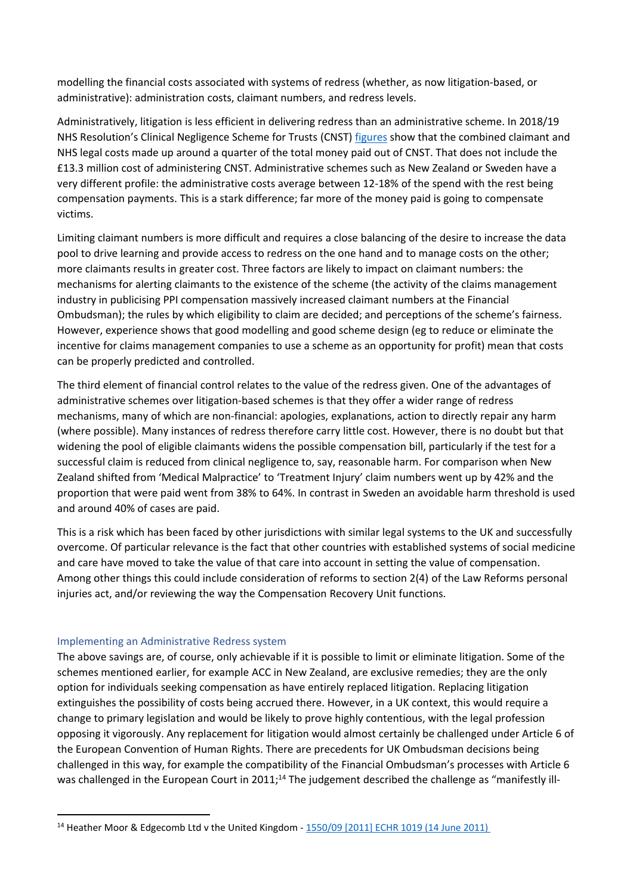modelling the financial costs associated with systems of redress (whether, as now litigation-based, or administrative): administration costs, claimant numbers, and redress levels.

Administratively, litigation is less efficient in delivering redress than an administrative scheme. In 2018/19 NHS Resolution's Clinical Negligence Scheme for Trusts (CNST) [figures](https://resolution.nhs.uk/wp-content/uploads/2019/08/NHS-Resolution-Annual-Report-2018-19.pdf) show that the combined claimant and NHS legal costs made up around a quarter of the total money paid out of CNST. That does not include the £13.3 million cost of administering CNST. Administrative schemes such as New Zealand or Sweden have a very different profile: the administrative costs average between 12-18% of the spend with the rest being compensation payments. This is a stark difference; far more of the money paid is going to compensate victims.

Limiting claimant numbers is more difficult and requires a close balancing of the desire to increase the data pool to drive learning and provide access to redress on the one hand and to manage costs on the other; more claimants results in greater cost. Three factors are likely to impact on claimant numbers: the mechanisms for alerting claimants to the existence of the scheme (the activity of the claims management industry in publicising PPI compensation massively increased claimant numbers at the Financial Ombudsman); the rules by which eligibility to claim are decided; and perceptions of the scheme's fairness. However, experience shows that good modelling and good scheme design (eg to reduce or eliminate the incentive for claims management companies to use a scheme as an opportunity for profit) mean that costs can be properly predicted and controlled.

The third element of financial control relates to the value of the redress given. One of the advantages of administrative schemes over litigation-based schemes is that they offer a wider range of redress mechanisms, many of which are non-financial: apologies, explanations, action to directly repair any harm (where possible). Many instances of redress therefore carry little cost. However, there is no doubt but that widening the pool of eligible claimants widens the possible compensation bill, particularly if the test for a successful claim is reduced from clinical negligence to, say, reasonable harm. For comparison when New Zealand shifted from 'Medical Malpractice' to 'Treatment Injury' claim numbers went up by 42% and the proportion that were paid went from 38% to 64%. In contrast in Sweden an avoidable harm threshold is used and around 40% of cases are paid.

This is a risk which has been faced by other jurisdictions with similar legal systems to the UK and successfully overcome. Of particular relevance is the fact that other countries with established systems of social medicine and care have moved to take the value of that care into account in setting the value of compensation. Among other things this could include consideration of reforms to section 2(4) of the Law Reforms personal injuries act, and/or reviewing the way the Compensation Recovery Unit functions.

### <span id="page-11-0"></span>Implementing an Administrative Redress system

The above savings are, of course, only achievable if it is possible to limit or eliminate litigation. Some of the schemes mentioned earlier, for example ACC in New Zealand, are exclusive remedies; they are the only option for individuals seeking compensation as have entirely replaced litigation. Replacing litigation extinguishes the possibility of costs being accrued there. However, in a UK context, this would require a change to primary legislation and would be likely to prove highly contentious, with the legal profession opposing it vigorously. Any replacement for litigation would almost certainly be challenged under Article 6 of the European Convention of Human Rights. There are precedents for UK Ombudsman decisions being challenged in this way, for example the compatibility of the Financial Ombudsman's processes with Article 6 was challenged in the European Court in 2011;<sup>14</sup> The judgement described the challenge as "manifestly ill-

<sup>&</sup>lt;sup>14</sup> Heather Moor & Edgecomb Ltd v the United Kingdom - [1550/09](http://www.bailii.org/eu/cases/ECHR/2011/1019.html) [\[2011\]](http://www.bailii.org/eu/cases/ECHR/2011/1019.html) [ECHR](http://www.bailii.org/eu/cases/ECHR/2011/1019.html) [1019](http://www.bailii.org/eu/cases/ECHR/2011/1019.html) [\(14](http://www.bailii.org/eu/cases/ECHR/2011/1019.html) [June](http://www.bailii.org/eu/cases/ECHR/2011/1019.html) [2011\)](http://www.bailii.org/eu/cases/ECHR/2011/1019.html)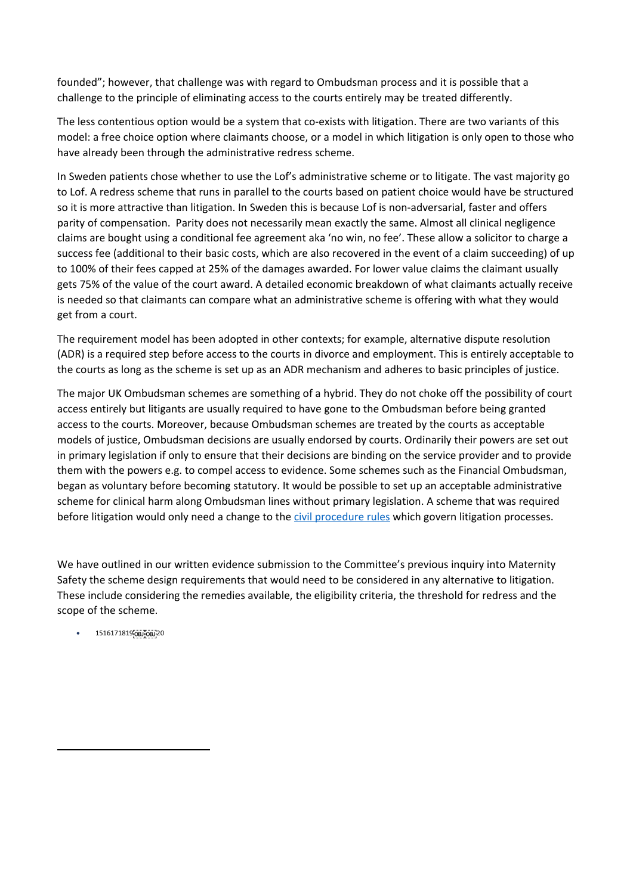founded"; however, that challenge was with regard to Ombudsman process and it is possible that a challenge to the principle of eliminating access to the courts entirely may be treated differently.

The less contentious option would be a system that co-exists with litigation. There are two variants of this model: a free choice option where claimants choose, or a model in which litigation is only open to those who have already been through the administrative redress scheme.

In Sweden patients chose whether to use the Lof's administrative scheme or to litigate. The vast majority go to Lof. A redress scheme that runs in parallel to the courts based on patient choice would have be structured so it is more attractive than litigation. In Sweden this is because Lof is non-adversarial, faster and offers parity of compensation. Parity does not necessarily mean exactly the same. Almost all clinical negligence claims are bought using a conditional fee agreement aka 'no win, no fee'. These allow a solicitor to charge a success fee (additional to their basic costs, which are also recovered in the event of a claim succeeding) of up to 100% of their fees capped at 25% of the damages awarded. For lower value claims the claimant usually gets 75% of the value of the court award. A detailed economic breakdown of what claimants actually receive is needed so that claimants can compare what an administrative scheme is offering with what they would get from a court.

The requirement model has been adopted in other contexts; for example, alternative dispute resolution (ADR) is a required step before access to the courts in divorce and employment. This is entirely acceptable to the courts as long as the scheme is set up as an ADR mechanism and adheres to basic principles of justice.

The major UK Ombudsman schemes are something of a hybrid. They do not choke off the possibility of court access entirely but litigants are usually required to have gone to the Ombudsman before being granted access to the courts. Moreover, because Ombudsman schemes are treated by the courts as acceptable models of justice, Ombudsman decisions are usually endorsed by courts. Ordinarily their powers are set out in primary legislation if only to ensure that their decisions are binding on the service provider and to provide them with the powers e.g. to compel access to evidence. Some schemes such as the Financial Ombudsman, began as voluntary before becoming statutory. It would be possible to set up an acceptable administrative scheme for clinical harm along Ombudsman lines without primary legislation. A scheme that was required before litigation would only need a change to the [civil](https://www.justice.gov.uk/courts/procedure-rules/civil/rules) [procedure](https://www.justice.gov.uk/courts/procedure-rules/civil/rules) [rules](https://www.justice.gov.uk/courts/procedure-rules/civil/rules) which govern litigation processes.

We have outlined in our written evidence submission to the Committee's previous inquiry into Maternity Safety the scheme design requirements that would need to be considered in any alternative to litigation. These include considering the remedies available, the eligibility criteria, the threshold for redress and the scope of the scheme.

 $\bullet$  1516171819 $\overline{OBJ}$  $\overline{OBJ}$  $\overline{OBJ}$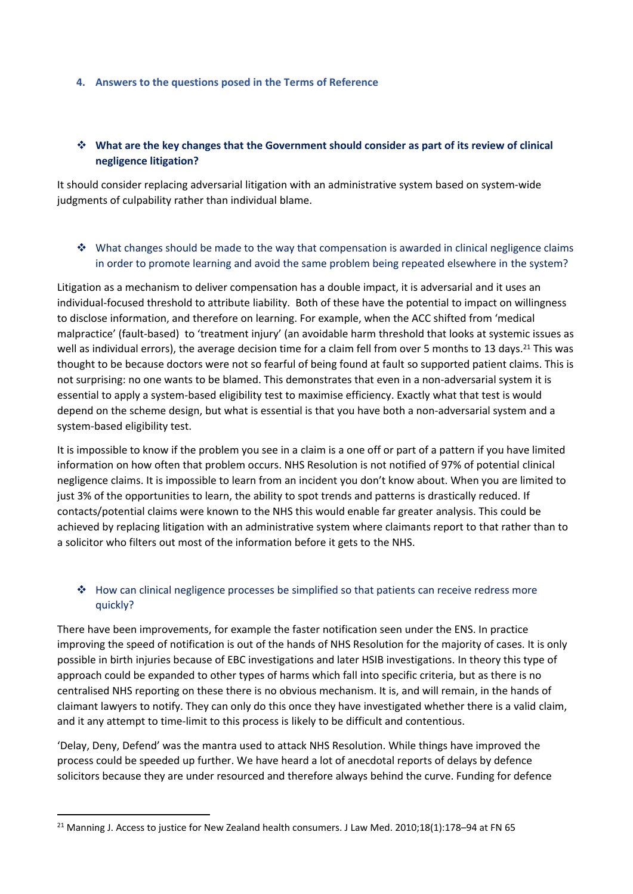### <span id="page-13-0"></span>**4. Answers to the questions posed in the Terms of Reference**

# **What are the key changes that the Government should consider as part of its review of clinical negligence litigation?**

It should consider replacing adversarial litigation with an administrative system based on system-wide judgments of culpability rather than individual blame.

# $\cdot$  What changes should be made to the way that compensation is awarded in clinical negligence claims in order to promote learning and avoid the same problem being repeated elsewhere in the system?

Litigation as a mechanism to deliver compensation has a double impact, it is adversarial and it uses an individual-focused threshold to attribute liability. Both of these have the potential to impact on willingness to disclose information, and therefore on learning. For example, when the ACC shifted from 'medical malpractice' (fault-based) to 'treatment injury' (an avoidable harm threshold that looks at systemic issues as well as individual errors), the average decision time for a claim fell from over 5 months to 13 days.<sup>21</sup> This was thought to be because doctors were not so fearful of being found at fault so supported patient claims. This is not surprising: no one wants to be blamed. This demonstrates that even in a non-adversarial system it is essential to apply a system-based eligibility test to maximise efficiency. Exactly what that test is would depend on the scheme design, but what is essential is that you have both a non-adversarial system and a system-based eligibility test.

It is impossible to know if the problem you see in a claim is a one off or part of a pattern if you have limited information on how often that problem occurs. NHS Resolution is not notified of 97% of potential clinical negligence claims. It is impossible to learn from an incident you don't know about. When you are limited to just 3% of the opportunities to learn, the ability to spot trends and patterns is drastically reduced. If contacts/potential claims were known to the NHS this would enable far greater analysis. This could be achieved by replacing litigation with an administrative system where claimants report to that rather than to a solicitor who filters out most of the information before it gets to the NHS.

# $\triangleleft$  How can clinical negligence processes be simplified so that patients can receive redress more quickly?

There have been improvements, for example the faster notification seen under the ENS. In practice improving the speed of notification is out of the hands of NHS Resolution for the majority of cases. It is only possible in birth injuries because of EBC investigations and later HSIB investigations. In theory this type of approach could be expanded to other types of harms which fall into specific criteria, but as there is no centralised NHS reporting on these there is no obvious mechanism. It is, and will remain, in the hands of claimant lawyers to notify. They can only do this once they have investigated whether there is a valid claim, and it any attempt to time-limit to this process is likely to be difficult and contentious.

'Delay, Deny, Defend' was the mantra used to attack NHS Resolution. While things have improved the process could be speeded up further. We have heard a lot of anecdotal reports of delays by defence solicitors because they are under resourced and therefore always behind the curve. Funding for defence

<sup>&</sup>lt;sup>21</sup> Manning J. Access to justice for New Zealand health consumers. J Law Med. 2010;18(1):178-94 at FN 65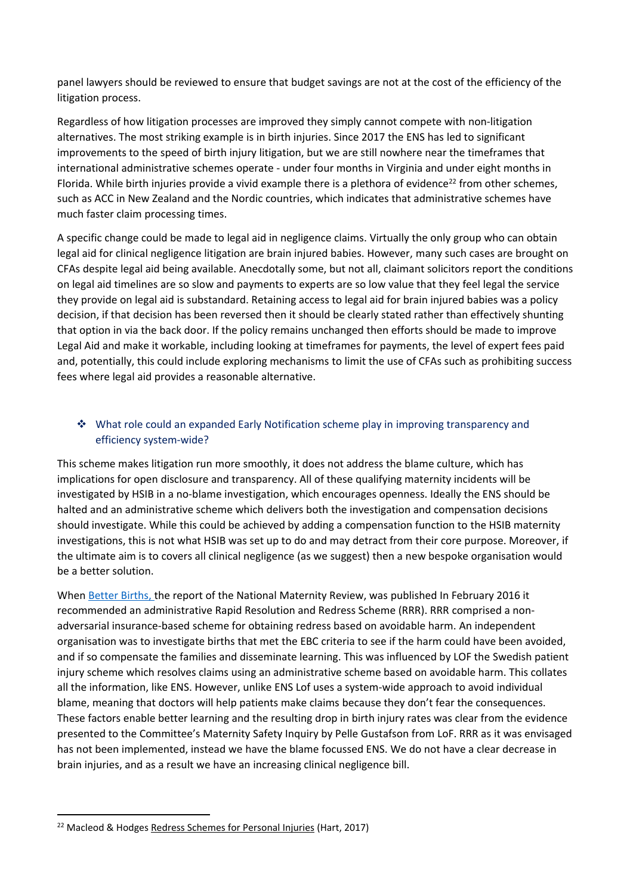panel lawyers should be reviewed to ensure that budget savings are not at the cost of the efficiency of the litigation process.

Regardless of how litigation processes are improved they simply cannot compete with non-litigation alternatives. The most striking example is in birth injuries. Since 2017 the ENS has led to significant improvements to the speed of birth injury litigation, but we are still nowhere near the timeframes that international administrative schemes operate - under four months in Virginia and under eight months in Florida. While birth injuries provide a vivid example there is a plethora of evidence<sup>22</sup> from other schemes, such as ACC in New Zealand and the Nordic countries, which indicates that administrative schemes have much faster claim processing times.

A specific change could be made to legal aid in negligence claims. Virtually the only group who can obtain legal aid for clinical negligence litigation are brain injured babies. However, many such cases are brought on CFAs despite legal aid being available. Anecdotally some, but not all, claimant solicitors report the conditions on legal aid timelines are so slow and payments to experts are so low value that they feel legal the service they provide on legal aid is substandard. Retaining access to legal aid for brain injured babies was a policy decision, if that decision has been reversed then it should be clearly stated rather than effectively shunting that option in via the back door. If the policy remains unchanged then efforts should be made to improve Legal Aid and make it workable, including looking at timeframes for payments, the level of expert fees paid and, potentially, this could include exploring mechanisms to limit the use of CFAs such as prohibiting success fees where legal aid provides a reasonable alternative.

# What role could an expanded Early Notification scheme play in improving transparency and efficiency system-wide?

This scheme makes litigation run more smoothly, it does not address the blame culture, which has implications for open disclosure and transparency. All of these qualifying maternity incidents will be investigated by HSIB in a no-blame investigation, which encourages openness. Ideally the ENS should be halted and an administrative scheme which delivers both the investigation and compensation decisions should investigate. While this could be achieved by adding a compensation function to the HSIB maternity investigations, this is not what HSIB was set up to do and may detract from their core purpose. Moreover, if the ultimate aim is to covers all clinical negligence (as we suggest) then a new bespoke organisation would be a better solution.

When [Better](https://www.england.nhs.uk/wp-content/uploads/2016/02/national-maternity-review-report.pdf) [Births,](https://www.england.nhs.uk/wp-content/uploads/2016/02/national-maternity-review-report.pdf) the report of the National Maternity Review, was published In February 2016 it recommended an administrative Rapid Resolution and Redress Scheme (RRR). RRR comprised a nonadversarial insurance-based scheme for obtaining redress based on avoidable harm. An independent organisation was to investigate births that met the EBC criteria to see if the harm could have been avoided, and if so compensate the families and disseminate learning. This was influenced by LOF the Swedish patient injury scheme which resolves claims using an administrative scheme based on avoidable harm. This collates all the information, like ENS. However, unlike ENS Lof uses a system-wide approach to avoid individual blame, meaning that doctors will help patients make claims because they don't fear the consequences. These factors enable better learning and the resulting drop in birth injury rates was clear from the evidence presented to the Committee's Maternity Safety Inquiry by Pelle Gustafson from LoF. RRR as it was envisaged has not been implemented, instead we have the blame focussed ENS. We do not have a clear decrease in brain injuries, and as a result we have an increasing clinical negligence bill.

<sup>&</sup>lt;sup>22</sup> Macleod & Hodges Redress Schemes for Personal Injuries (Hart, 2017)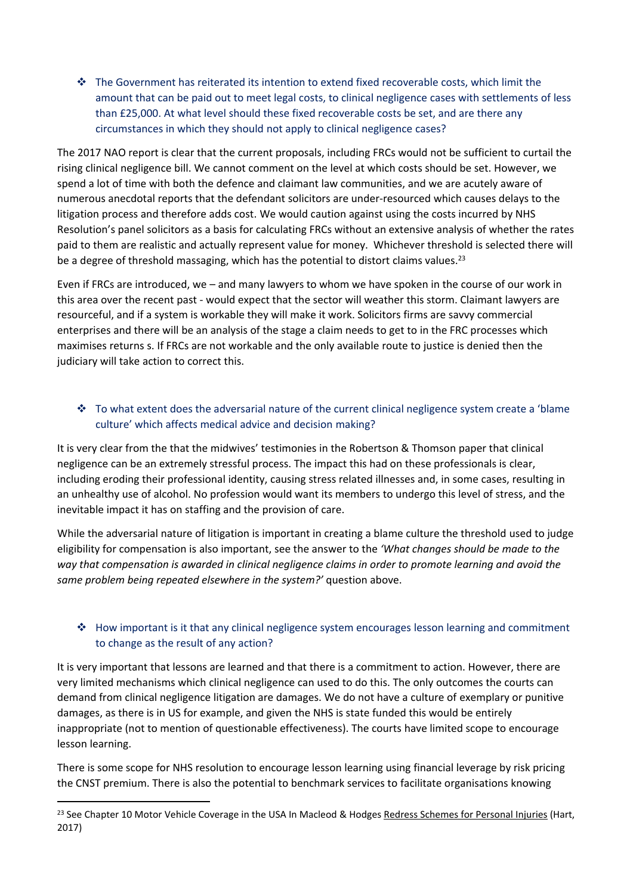$\cdot \cdot$  The Government has reiterated its intention to extend fixed recoverable costs, which limit the amount that can be paid out to meet legal costs, to clinical negligence cases with settlements of less than £25,000. At what level should these fixed recoverable costs be set, and are there any circumstances in which they should not apply to clinical negligence cases?

The 2017 NAO report is clear that the current proposals, including FRCs would not be sufficient to curtail the rising clinical negligence bill. We cannot comment on the level at which costs should be set. However, we spend a lot of time with both the defence and claimant law communities, and we are acutely aware of numerous anecdotal reports that the defendant solicitors are under-resourced which causes delays to the litigation process and therefore adds cost. We would caution against using the costs incurred by NHS Resolution's panel solicitors as a basis for calculating FRCs without an extensive analysis of whether the rates paid to them are realistic and actually represent value for money. Whichever threshold is selected there will be a degree of threshold massaging, which has the potential to distort claims values.<sup>23</sup>

Even if FRCs are introduced, we – and many lawyers to whom we have spoken in the course of our work in this area over the recent past - would expect that the sector will weather this storm. Claimant lawyers are resourceful, and if a system is workable they will make it work. Solicitors firms are savvy commercial enterprises and there will be an analysis of the stage a claim needs to get to in the FRC processes which maximises returns s. If FRCs are not workable and the only available route to justice is denied then the judiciary will take action to correct this.

# \* To what extent does the adversarial nature of the current clinical negligence system create a 'blame culture' which affects medical advice and decision making?

It is very clear from the that the midwives' testimonies in the Robertson & Thomson paper that clinical negligence can be an extremely stressful process. The impact this had on these professionals is clear, including eroding their professional identity, causing stress related illnesses and, in some cases, resulting in an unhealthy use of alcohol. No profession would want its members to undergo this level of stress, and the inevitable impact it has on staffing and the provision of care.

While the adversarial nature of litigation is important in creating a blame culture the threshold used to judge eligibility for compensation is also important, see the answer to the *'What changes should be made to the way that compensation is awarded in clinical negligence claims in order to promote learning and avoid the same problem being repeated elsewhere in the system?'* question above.

# $\triangleleft$  How important is it that any clinical negligence system encourages lesson learning and commitment to change as the result of any action?

It is very important that lessons are learned and that there is a commitment to action. However, there are very limited mechanisms which clinical negligence can used to do this. The only outcomes the courts can demand from clinical negligence litigation are damages. We do not have a culture of exemplary or punitive damages, as there is in US for example, and given the NHS is state funded this would be entirely inappropriate (not to mention of questionable effectiveness). The courts have limited scope to encourage lesson learning.

There is some scope for NHS resolution to encourage lesson learning using financial leverage by risk pricing the CNST premium. There is also the potential to benchmark services to facilitate organisations knowing

<sup>&</sup>lt;sup>23</sup> See Chapter 10 Motor Vehicle Coverage in the USA In Macleod & Hodges Redress Schemes for Personal Injuries (Hart, 2017)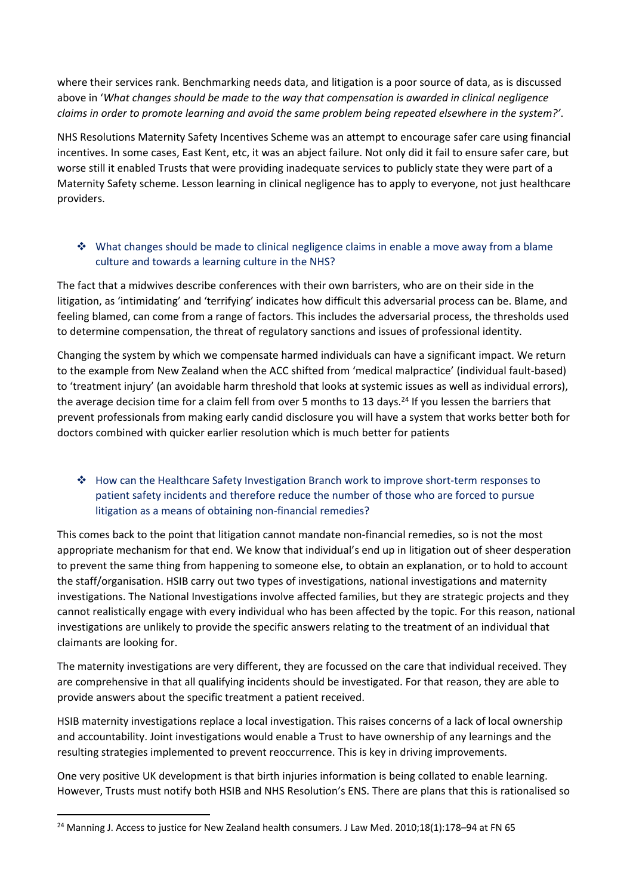where their services rank. Benchmarking needs data, and litigation is a poor source of data, as is discussed above in '*What changes should be made to the way that compensation is awarded in clinical negligence claims in order to promote learning and avoid the same problem being repeated elsewhere in the system?'*.

NHS Resolutions Maternity Safety Incentives Scheme was an attempt to encourage safer care using financial incentives. In some cases, East Kent, etc, it was an abject failure. Not only did it fail to ensure safer care, but worse still it enabled Trusts that were providing inadequate services to publicly state they were part of a Maternity Safety scheme. Lesson learning in clinical negligence has to apply to everyone, not just healthcare providers.

# $\clubsuit$  What changes should be made to clinical negligence claims in enable a move away from a blame culture and towards a learning culture in the NHS?

The fact that a midwives describe conferences with their own barristers, who are on their side in the litigation, as 'intimidating' and 'terrifying' indicates how difficult this adversarial process can be. Blame, and feeling blamed, can come from a range of factors. This includes the adversarial process, the thresholds used to determine compensation, the threat of regulatory sanctions and issues of professional identity.

Changing the system by which we compensate harmed individuals can have a significant impact. We return to the example from New Zealand when the ACC shifted from 'medical malpractice' (individual fault-based) to 'treatment injury' (an avoidable harm threshold that looks at systemic issues as well as individual errors), the average decision time for a claim fell from over 5 months to 13 days.<sup>24</sup> If you lessen the barriers that prevent professionals from making early candid disclosure you will have a system that works better both for doctors combined with quicker earlier resolution which is much better for patients

# How can the Healthcare Safety Investigation Branch work to improve short-term responses to patient safety incidents and therefore reduce the number of those who are forced to pursue litigation as a means of obtaining non-financial remedies?

This comes back to the point that litigation cannot mandate non-financial remedies, so is not the most appropriate mechanism for that end. We know that individual's end up in litigation out of sheer desperation to prevent the same thing from happening to someone else, to obtain an explanation, or to hold to account the staff/organisation. HSIB carry out two types of investigations, national investigations and maternity investigations. The National Investigations involve affected families, but they are strategic projects and they cannot realistically engage with every individual who has been affected by the topic. For this reason, national investigations are unlikely to provide the specific answers relating to the treatment of an individual that claimants are looking for.

The maternity investigations are very different, they are focussed on the care that individual received. They are comprehensive in that all qualifying incidents should be investigated. For that reason, they are able to provide answers about the specific treatment a patient received.

HSIB maternity investigations replace a local investigation. This raises concerns of a lack of local ownership and accountability. Joint investigations would enable a Trust to have ownership of any learnings and the resulting strategies implemented to prevent reoccurrence. This is key in driving improvements.

One very positive UK development is that birth injuries information is being collated to enable learning. However, Trusts must notify both HSIB and NHS Resolution's ENS. There are plans that this is rationalised so

<sup>&</sup>lt;sup>24</sup> Manning J. Access to justice for New Zealand health consumers. J Law Med. 2010;18(1):178-94 at FN 65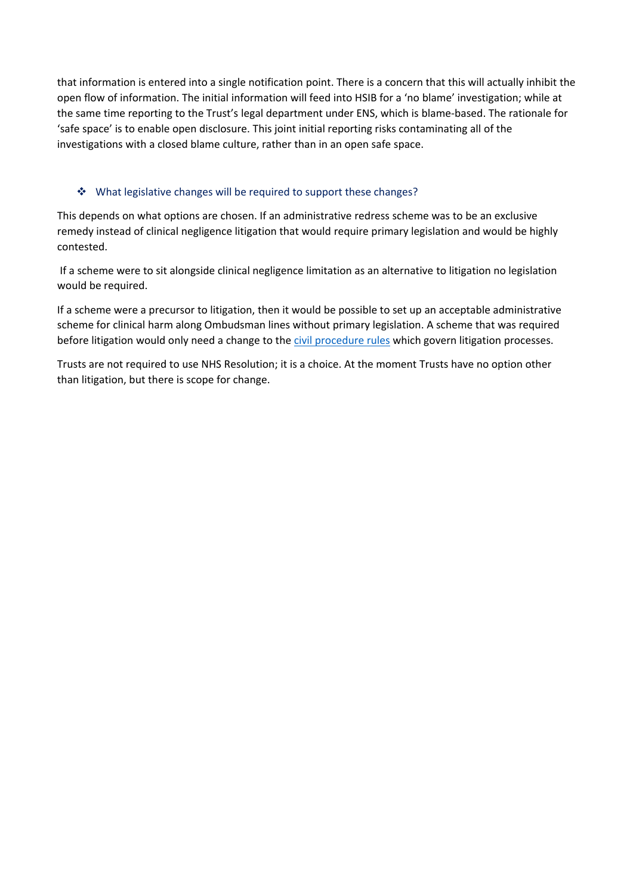that information is entered into a single notification point. There is a concern that this will actually inhibit the open flow of information. The initial information will feed into HSIB for a 'no blame' investigation; while at the same time reporting to the Trust's legal department under ENS, which is blame-based. The rationale for 'safe space' is to enable open disclosure. This joint initial reporting risks contaminating all of the investigations with a closed blame culture, rather than in an open safe space.

# ❖ What legislative changes will be required to support these changes?

This depends on what options are chosen. If an administrative redress scheme was to be an exclusive remedy instead of clinical negligence litigation that would require primary legislation and would be highly contested.

If a scheme were to sit alongside clinical negligence limitation as an alternative to litigation no legislation would be required.

If a scheme were a precursor to litigation, then it would be possible to set up an acceptable administrative scheme for clinical harm along Ombudsman lines without primary legislation. A scheme that was required before litigation would only need a change to the [civil](https://www.justice.gov.uk/courts/procedure-rules/civil/rules) [procedure](https://www.justice.gov.uk/courts/procedure-rules/civil/rules) [rules](https://www.justice.gov.uk/courts/procedure-rules/civil/rules) which govern litigation processes.

Trusts are not required to use NHS Resolution; it is a choice. At the moment Trusts have no option other than litigation, but there is scope for change.